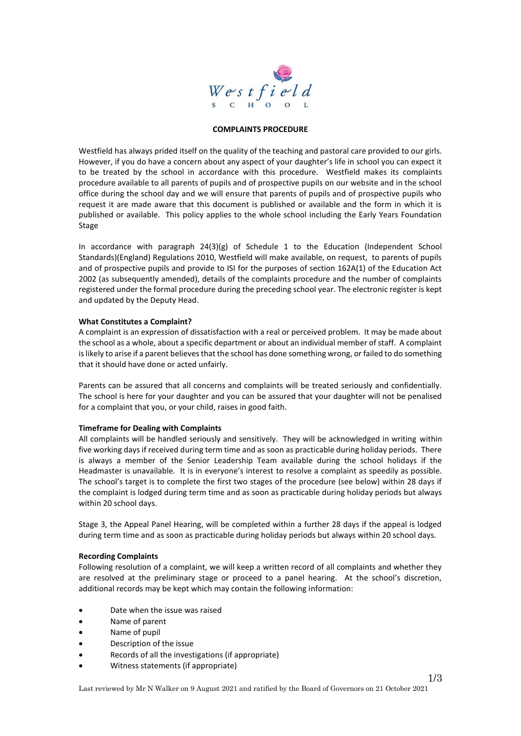

### **COMPLAINTS PROCEDURE**

Westfield has always prided itself on the quality of the teaching and pastoral care provided to our girls. However, if you do have a concern about any aspect of your daughter's life in school you can expect it to be treated by the school in accordance with this procedure. Westfield makes its complaints procedure available to all parents of pupils and of prospective pupils on our website and in the school office during the school day and we will ensure that parents of pupils and of prospective pupils who request it are made aware that this document is published or available and the form in which it is published or available. This policy applies to the whole school including the Early Years Foundation Stage

In accordance with paragraph 24(3)(g) of Schedule 1 to the Education (Independent School Standards)(England) Regulations 2010, Westfield will make available, on request, to parents of pupils and of prospective pupils and provide to ISI for the purposes of section 162A(1) of the Education Act 2002 (as subsequently amended), details of the complaints procedure and the number of complaints registered under the formal procedure during the preceding school year. The electronic register is kept and updated by the Deputy Head.

### **What Constitutes a Complaint?**

A complaint is an expression of dissatisfaction with a real or perceived problem. It may be made about the school as a whole, about a specific department or about an individual member of staff. A complaint is likely to arise if a parent believes that the school has done something wrong, or failed to do something that it should have done or acted unfairly.

Parents can be assured that all concerns and complaints will be treated seriously and confidentially. The school is here for your daughter and you can be assured that your daughter will not be penalised for a complaint that you, or your child, raises in good faith.

#### **Timeframe for Dealing with Complaints**

All complaints will be handled seriously and sensitively. They will be acknowledged in writing within five working days if received during term time and as soon as practicable during holiday periods. There is always a member of the Senior Leadership Team available during the school holidays if the Headmaster is unavailable. It is in everyone's interest to resolve a complaint as speedily as possible. The school's target is to complete the first two stages of the procedure (see below) within 28 days if the complaint is lodged during term time and as soon as practicable during holiday periods but always within 20 school days.

Stage 3, the Appeal Panel Hearing, will be completed within a further 28 days if the appeal is lodged during term time and as soon as practicable during holiday periods but always within 20 school days.

#### **Recording Complaints**

Following resolution of a complaint, we will keep a written record of all complaints and whether they are resolved at the preliminary stage or proceed to a panel hearing. At the school's discretion, additional records may be kept which may contain the following information:

- Date when the issue was raised
- Name of parent
- Name of pupil
- Description of the issue
- Records of all the investigations (if appropriate)
- Witness statements (if appropriate)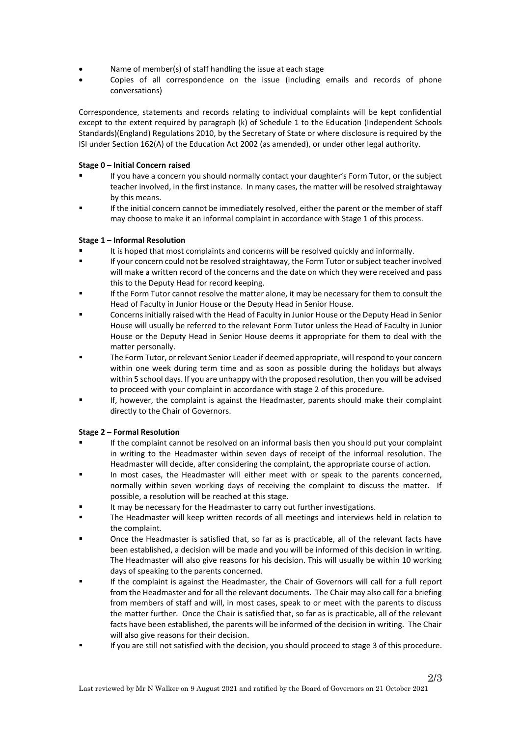- Name of member(s) of staff handling the issue at each stage
- Copies of all correspondence on the issue (including emails and records of phone conversations)

Correspondence, statements and records relating to individual complaints will be kept confidential except to the extent required by paragraph (k) of Schedule 1 to the Education (Independent Schools Standards)(England) Regulations 2010, by the Secretary of State or where disclosure is required by the ISI under Section 162(A) of the Education Act 2002 (as amended), or under other legal authority.

## **Stage 0 – Initial Concern raised**

- If you have a concern you should normally contact your daughter's Form Tutor, or the subject teacher involved, in the first instance. In many cases, the matter will be resolved straightaway by this means.
- If the initial concern cannot be immediately resolved, either the parent or the member of staff may choose to make it an informal complaint in accordance with Stage 1 of this process.

## **Stage 1 – Informal Resolution**

- It is hoped that most complaints and concerns will be resolved quickly and informally.
- If your concern could not be resolved straightaway, the Form Tutor or subject teacher involved will make a written record of the concerns and the date on which they were received and pass this to the Deputy Head for record keeping.
- If the Form Tutor cannot resolve the matter alone, it may be necessary for them to consult the Head of Faculty in Junior House or the Deputy Head in Senior House.
- Concerns initially raised with the Head of Faculty in Junior House or the Deputy Head in Senior House will usually be referred to the relevant Form Tutor unless the Head of Faculty in Junior House or the Deputy Head in Senior House deems it appropriate for them to deal with the matter personally.
- The Form Tutor, or relevant Senior Leader if deemed appropriate, will respond to your concern within one week during term time and as soon as possible during the holidays but always within 5 school days. If you are unhappy with the proposed resolution, then you will be advised to proceed with your complaint in accordance with stage 2 of this procedure.
- If, however, the complaint is against the Headmaster, parents should make their complaint directly to the Chair of Governors.

# **Stage 2 – Formal Resolution**

- If the complaint cannot be resolved on an informal basis then you should put your complaint in writing to the Headmaster within seven days of receipt of the informal resolution. The Headmaster will decide, after considering the complaint, the appropriate course of action.
- In most cases, the Headmaster will either meet with or speak to the parents concerned, normally within seven working days of receiving the complaint to discuss the matter. If possible, a resolution will be reached at this stage.
- It may be necessary for the Headmaster to carry out further investigations.
- The Headmaster will keep written records of all meetings and interviews held in relation to the complaint.
- Once the Headmaster is satisfied that, so far as is practicable, all of the relevant facts have been established, a decision will be made and you will be informed of this decision in writing. The Headmaster will also give reasons for his decision. This will usually be within 10 working days of speaking to the parents concerned.
- If the complaint is against the Headmaster, the Chair of Governors will call for a full report from the Headmaster and for all the relevant documents. The Chair may also call for a briefing from members of staff and will, in most cases, speak to or meet with the parents to discuss the matter further. Once the Chair is satisfied that, so far as is practicable, all of the relevant facts have been established, the parents will be informed of the decision in writing. The Chair will also give reasons for their decision.
- If you are still not satisfied with the decision, you should proceed to stage 3 of this procedure.